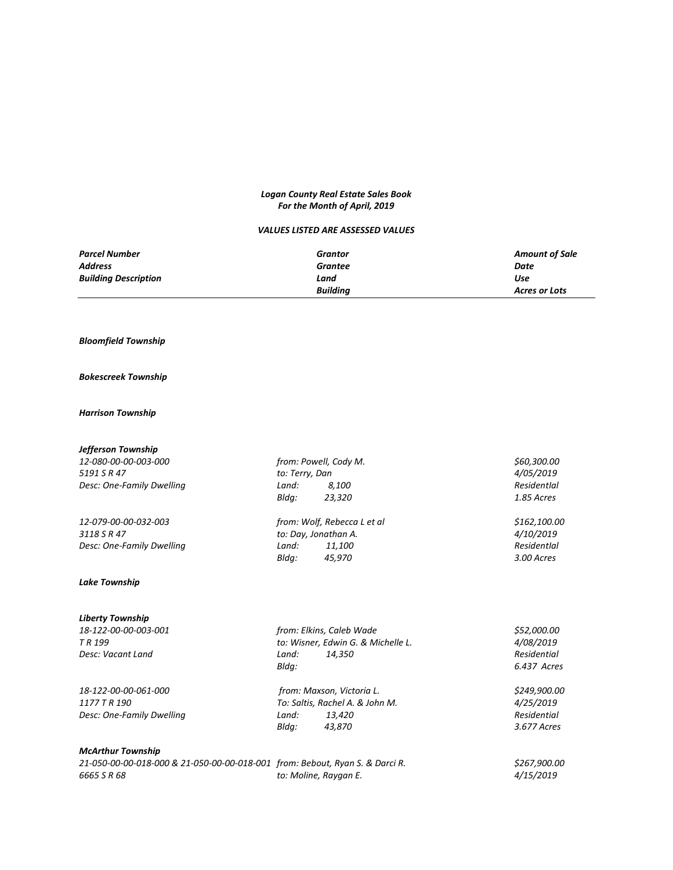# *Logan County Real Estate Sales Book For the Month of April, 2019*

## *VALUES LISTED ARE ASSESSED VALUES*

| <b>Parcel Number</b>        | Grantor         | <b>Amount of Sale</b> |
|-----------------------------|-----------------|-----------------------|
| <b>Address</b>              | Grantee         | Date                  |
| <b>Building Description</b> | Land            | Use                   |
|                             | <b>Building</b> | <b>Acres or Lots</b>  |

# *Bloomfield Township*

### *Bokescreek Township*

## *Harrison Township*

| Jefferson Township                                                           |                |                                    |              |
|------------------------------------------------------------------------------|----------------|------------------------------------|--------------|
| 12-080-00-00-003-000                                                         |                | from: Powell, Cody M.              | \$60,300.00  |
| 5191 S R 47                                                                  | to: Terry, Dan |                                    | 4/05/2019    |
| Desc: One-Family Dwelling                                                    | Land:          | 8,100                              | Residentlal  |
|                                                                              | Bldg:          | 23,320                             | 1.85 Acres   |
| 12-079-00-00-032-003                                                         |                | from: Wolf, Rebecca L et al        | \$162,100.00 |
| 3118 S R 47                                                                  |                | to: Day, Jonathan A.               | 4/10/2019    |
| Desc: One-Family Dwelling                                                    | Land:          | 11,100                             | Residentlal  |
|                                                                              | Bldg:          | 45,970                             | 3.00 Acres   |
| <b>Lake Township</b>                                                         |                |                                    |              |
| <b>Liberty Township</b>                                                      |                |                                    |              |
| 18-122-00-00-003-001                                                         |                | from: Elkins, Caleb Wade           | \$52,000.00  |
| TR <sub>199</sub>                                                            |                | to: Wisner, Edwin G. & Michelle L. | 4/08/2019    |
| Desc: Vacant Land                                                            | Land:          | 14,350                             | Residential  |
|                                                                              | Bldg:          |                                    | 6.437 Acres  |
| 18-122-00-00-061-000                                                         |                | from: Maxson, Victoria L.          | \$249,900.00 |
| 1177 T R 190                                                                 |                | To: Saltis, Rachel A. & John M.    | 4/25/2019    |
| Desc: One-Family Dwelling                                                    | Land:          | 13,420                             | Residential  |
|                                                                              | Bldg:          | 43,870                             | 3.677 Acres  |
| <b>McArthur Township</b>                                                     |                |                                    |              |
| 21-050-00-00-018-000 & 21-050-00-00-018-001 from: Bebout, Ryan S. & Darci R. |                |                                    | \$267,900.00 |
| 6665 S R 68                                                                  |                | to: Moline, Raygan E.              | 4/15/2019    |

| 21-050-00-00-018-000 & 21-050-00-00-018-001 from: Bebout, Ryan S. & Darci R. |                       | \$267,900.0      |
|------------------------------------------------------------------------------|-----------------------|------------------|
| 6665 S R 68                                                                  | to: Moline, Raygan E. | <i>4/15/2019</i> |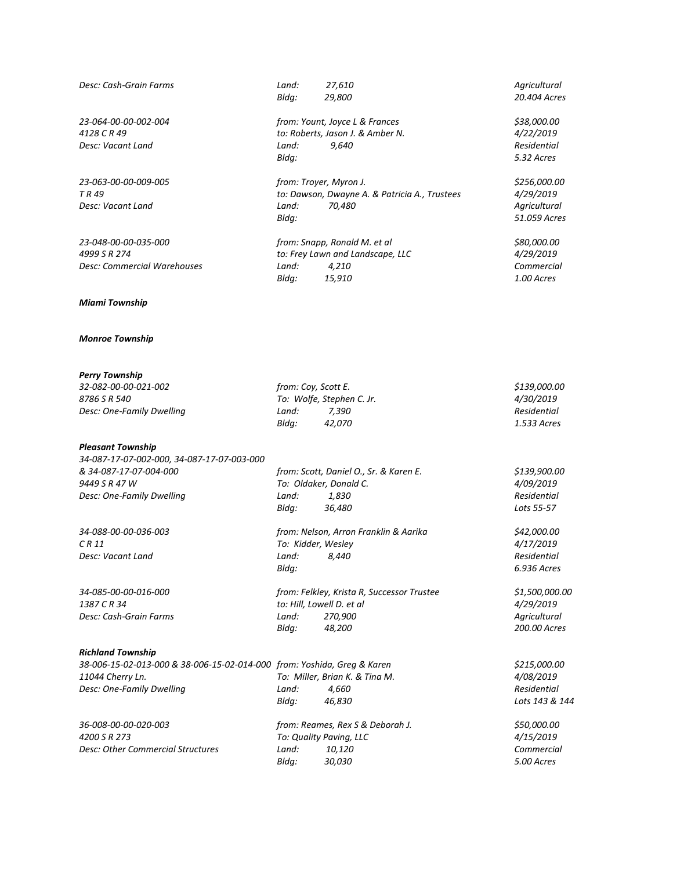| Desc: Cash-Grain Farms                                                  | Land:<br>Bldg:       | 27,610<br>29,800                              | Agricultural<br>20.404 Acres  |
|-------------------------------------------------------------------------|----------------------|-----------------------------------------------|-------------------------------|
| 23-064-00-00-002-004                                                    |                      | from: Yount, Joyce L & Frances                | \$38,000.00                   |
| 4128 C R 49                                                             |                      | to: Roberts, Jason J. & Amber N.              | 4/22/2019                     |
| Desc: Vacant Land                                                       | Land:                | 9,640                                         | Residential                   |
|                                                                         | Bldg:                |                                               | 5.32 Acres                    |
| 23-063-00-00-009-005                                                    |                      | from: Troyer, Myron J.                        | \$256,000.00                  |
| TR 49                                                                   |                      | to: Dawson, Dwayne A. & Patricia A., Trustees | 4/29/2019                     |
| Desc: Vacant Land                                                       | Land:                | 70,480                                        | Agricultural                  |
|                                                                         | Bldg:                |                                               | 51.059 Acres                  |
| 23-048-00-00-035-000                                                    |                      | from: Snapp, Ronald M. et al                  | \$80,000.00                   |
| 4999 S R 274                                                            |                      | to: Frey Lawn and Landscape, LLC              | 4/29/2019                     |
| Desc: Commercial Warehouses                                             | Land:                | 4,210                                         | Commercial                    |
|                                                                         | Bldg:                | 15,910                                        | 1.00 Acres                    |
| <b>Miami Township</b>                                                   |                      |                                               |                               |
| <b>Monroe Township</b>                                                  |                      |                                               |                               |
|                                                                         |                      |                                               |                               |
| <b>Perry Township</b><br>32-082-00-00-021-002                           |                      |                                               |                               |
| 8786 S R 540                                                            | from: Coy, Scott E.  | To: Wolfe, Stephen C. Jr.                     | \$139,000.00<br>4/30/2019     |
| Desc: One-Family Dwelling                                               | Land:                | 7,390                                         | Residential                   |
|                                                                         | Bldg:                | 42,070                                        | 1.533 Acres                   |
| <b>Pleasant Township</b>                                                |                      |                                               |                               |
| 34-087-17-07-002-000, 34-087-17-07-003-000                              |                      |                                               |                               |
| & 34-087-17-07-004-000                                                  |                      | from: Scott, Daniel O., Sr. & Karen E.        | \$139,900.00                  |
| 9449 S R 47 W                                                           |                      | To: Oldaker, Donald C.                        | 4/09/2019                     |
| Desc: One-Family Dwelling                                               | Land:                | 1,830                                         | Residential                   |
|                                                                         | Bldg:                | 36,480                                        | Lots 55-57                    |
| 34-088-00-00-036-003                                                    |                      | from: Nelson, Arron Franklin & Aarika         | \$42,000.00                   |
| C R 11                                                                  | To: Kidder, Wesley   |                                               | 4/17/2019                     |
| Desc: Vacant Land                                                       | Land: 8,440<br>Bldg: |                                               | Residential<br>6.936 Acres    |
|                                                                         |                      |                                               |                               |
| 34-085-00-00-016-000                                                    |                      | from: Felkley, Krista R, Successor Trustee    | \$1,500,000.00                |
| 1387 C R 34                                                             |                      | to: Hill, Lowell D. et al                     | 4/29/2019                     |
| Desc: Cash-Grain Farms                                                  | Land:                | 270,900                                       | Agricultural                  |
|                                                                         | Bldg:                | 48,200                                        | 200.00 Acres                  |
| <b>Richland Township</b>                                                |                      |                                               |                               |
| 38-006-15-02-013-000 & 38-006-15-02-014-000 from: Yoshida, Greg & Karen |                      |                                               | \$215,000.00                  |
| 11044 Cherry Ln.                                                        |                      | To: Miller, Brian K. & Tina M.                | 4/08/2019                     |
| Desc: One-Family Dwelling                                               | Land:<br>Bldg:       | 4,660<br>46,830                               | Residential<br>Lots 143 & 144 |
| 36-008-00-00-020-003                                                    |                      | from: Reames, Rex S & Deborah J.              | \$50,000.00                   |
| 4200 S R 273                                                            |                      | To: Quality Paving, LLC                       | 4/15/2019                     |
| <b>Desc: Other Commercial Structures</b>                                | Land:                | 10,120                                        | Commercial                    |
|                                                                         | Bldg:                | 30,030                                        | 5.00 Acres                    |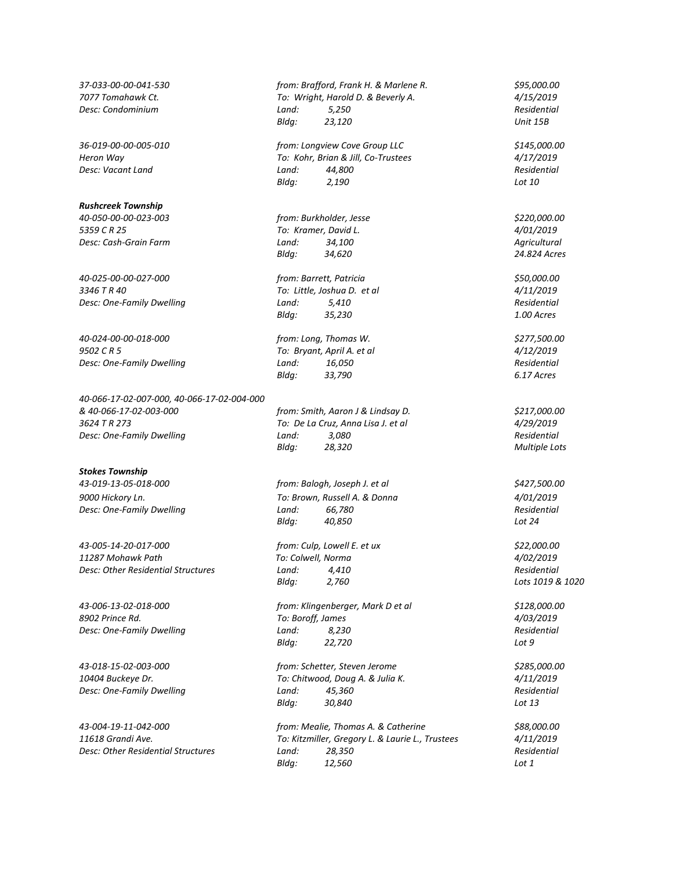#### *Rushcreek Township*

*5359 C R 25 To: Kramer, David L. 4/01/2019*

*40-025-00-00-027-000 from: Barrett, Patricia \$50,000.00 3346 T R 40 To: Little, Joshua D. et al 4/11/2019*

*40-024-00-00-018-000 from: Long, Thomas W. \$277,500.00 9502 C R 5 To: Bryant, April A. et al 4/12/2019 Desc: One-Family Dwelling Land: 16,050 Residential*

*40-066-17-02-007-000, 40-066-17-02-004-000 & 40-066-17-02-003-000 from: Smith, Aaron J & Lindsay D. \$217,000.00 3624 T R 273 To: De La Cruz, Anna Lisa J. et al 4/29/2019 Desc: One-Family Dwelling Land: 3,080 Residential*

#### *Stokes Township*

*43-019-13-05-018-000 from: Balogh, Joseph J. et al \$427,500.00*

*43-005-14-20-017-000 from: Culp, Lowell E. et ux \$22,000.00 11287 Mohawk Path To: Colwell, Norma 4/02/2019 Desc: Other Residential Structures Land:* 4,410

*37-033-00-00-041-530 from: Brafford, Frank H. & Marlene R. \$95,000.00 7077 Tomahawk Ct. To: Wright, Harold D. & Beverly A. 4/15/2019 Desc: Condominium Land: 5,250 Residential Bldg: 23,120 Unit 15B*

*36-019-00-00-005-010 from: Longview Cove Group LLC \$145,000.00 Heron Way To: Kohr, Brian & Jill, Co-Trustees 4/17/2019 Desc: Vacant Land Land: 44,800 Residential Bldg: 2,190 Lot 10*

*40-050-00-00-023-003 from: Burkholder, Jesse \$220,000.00 Desc: Cash-Grain Farm Land: 34,100 Agricultural Bldg: 34,620 24.824 Acres*

*Desc: One-Family Dwelling Land: 5,410 Residential Bldg: 35,230 1.00 Acres*

*Bldg: 33,790 6.17 Acres*

*Bldg: 28,320 Multiple Lots*

*9000 Hickory Ln. To: Brown, Russell A. & Donna 4/01/2019 Desc: One-Family Dwelling Land: 66,780 Residential Bldg: 40,850 Lot 24*

*Bldg: 2,760 Lots 1019 & 1020*

*43-006-13-02-018-000 from: Klingenberger, Mark D et al \$128,000.00 8902 Prince Rd. To: Boroff, James 4/03/2019 Desc: One-Family Dwelling Land: 8,230 Residential Bldg: 22,720 Lot 9*

*43-018-15-02-003-000 from: Schetter, Steven Jerome \$285,000.00 10404 Buckeye Dr. To: Chitwood, Doug A. & Julia K. 4/11/2019 Desc: One-Family Dwelling Land: 45,360 Residential Bldg: 30,840 Lot 13*

*43-004-19-11-042-000 from: Mealie, Thomas A. & Catherine \$88,000.00 11618 Grandi Ave. To: Kitzmiller, Gregory L. & Laurie L., Trustees 4/11/2019 Desc: Other Residential Structures Land: 28,350 Residential Bldg: 12,560 Lot 1*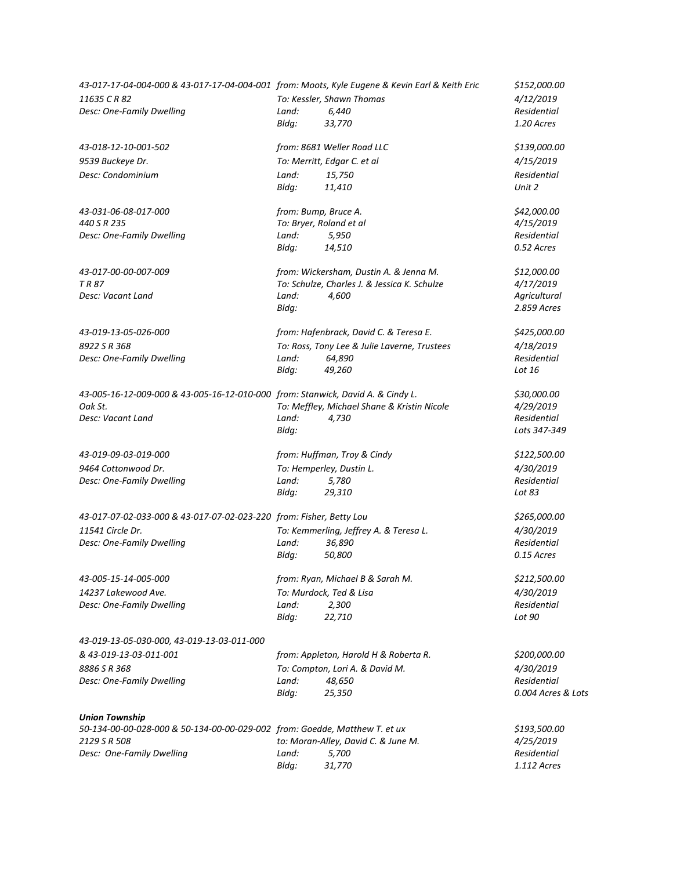| 43-017-17-04-004-000 & 43-017-17-04-004-001 from: Moots, Kyle Eugene & Kevin Earl & Keith Eric |       |                                              | \$152,000.00       |
|------------------------------------------------------------------------------------------------|-------|----------------------------------------------|--------------------|
| 11635 CR 82                                                                                    |       | To: Kessler, Shawn Thomas                    | 4/12/2019          |
| Desc: One-Family Dwelling                                                                      | Land: | 6,440                                        | Residential        |
|                                                                                                | Bldg: | 33,770                                       | 1.20 Acres         |
| 43-018-12-10-001-502                                                                           |       | from: 8681 Weller Road LLC                   | \$139,000.00       |
| 9539 Buckeye Dr.                                                                               |       | To: Merritt, Edgar C. et al                  | 4/15/2019          |
| Desc: Condominium                                                                              | Land: | 15,750                                       | Residential        |
|                                                                                                | Bldg: | 11,410                                       | Unit 2             |
| 43-031-06-08-017-000                                                                           |       | from: Bump, Bruce A.                         | \$42,000.00        |
| 440 S R 235                                                                                    |       | To: Bryer, Roland et al                      | 4/15/2019          |
| Desc: One-Family Dwelling                                                                      | Land: | 5,950                                        | Residential        |
|                                                                                                | Bldg: | 14,510                                       | 0.52 Acres         |
| 43-017-00-00-007-009                                                                           |       | from: Wickersham, Dustin A. & Jenna M.       | \$12,000.00        |
| TR 87                                                                                          |       | To: Schulze, Charles J. & Jessica K. Schulze | 4/17/2019          |
| Desc: Vacant Land                                                                              | Land: | 4,600                                        | Agricultural       |
|                                                                                                | Bldg: |                                              | 2.859 Acres        |
| 43-019-13-05-026-000                                                                           |       | from: Hafenbrack, David C. & Teresa E.       | \$425,000.00       |
| 8922 S R 368                                                                                   |       | To: Ross, Tony Lee & Julie Laverne, Trustees | 4/18/2019          |
| Desc: One-Family Dwelling                                                                      | Land: | 64,890                                       | Residential        |
|                                                                                                | Bldg: | 49,260                                       | Lot 16             |
| 43-005-16-12-009-000 & 43-005-16-12-010-000 from: Stanwick, David A. & Cindy L.                |       |                                              | \$30,000.00        |
| Oak St.                                                                                        |       | To: Meffley, Michael Shane & Kristin Nicole  | 4/29/2019          |
| Desc: Vacant Land                                                                              | Land: | 4,730                                        | Residential        |
|                                                                                                | Bldg: |                                              | Lots 347-349       |
| 43-019-09-03-019-000                                                                           |       | from: Huffman, Troy & Cindy                  | \$122,500.00       |
| 9464 Cottonwood Dr.                                                                            |       | To: Hemperley, Dustin L.                     | 4/30/2019          |
| Desc: One-Family Dwelling                                                                      | Land: | 5,780                                        | Residential        |
|                                                                                                | Bldg: | 29,310                                       | Lot 83             |
| 43-017-07-02-033-000 & 43-017-07-02-023-220 from: Fisher, Betty Lou                            |       |                                              | \$265,000.00       |
| 11541 Circle Dr.                                                                               |       | To: Kemmerling, Jeffrey A. & Teresa L.       | 4/30/2019          |
| Desc: One-Family Dwelling                                                                      | Land: | 36,890                                       | Residential        |
|                                                                                                | Bldg: | 50,800                                       | 0.15 Acres         |
| 43-005-15-14-005-000                                                                           |       | from: Ryan, Michael B & Sarah M.             | \$212,500.00       |
| 14237 Lakewood Ave.                                                                            |       | To: Murdock, Ted & Lisa                      | 4/30/2019          |
| Desc: One-Family Dwelling                                                                      | Land: | 2,300                                        | Residential        |
|                                                                                                | Bldg: | 22,710                                       | Lot 90             |
| 43-019-13-05-030-000, 43-019-13-03-011-000                                                     |       |                                              |                    |
| & 43-019-13-03-011-001                                                                         |       | from: Appleton, Harold H & Roberta R.        | \$200,000.00       |
| 8886 S R 368                                                                                   |       | To: Compton, Lori A. & David M.              | 4/30/2019          |
| Desc: One-Family Dwelling                                                                      | Land: | 48,650                                       | Residential        |
|                                                                                                | Bldg: | 25,350                                       | 0.004 Acres & Lots |
| <b>Union Township</b>                                                                          |       |                                              |                    |
| 50-134-00-00-028-000 & 50-134-00-00-029-002 from: Goedde, Matthew T. et ux                     |       |                                              | \$193,500.00       |
| 2129 S R 508                                                                                   |       | to: Moran-Alley, David C. & June M.          | 4/25/2019          |
| Desc: One-Family Dwelling                                                                      | Land: | 5,700                                        | Residential        |
|                                                                                                | Bldg: | 31,770                                       | 1.112 Acres        |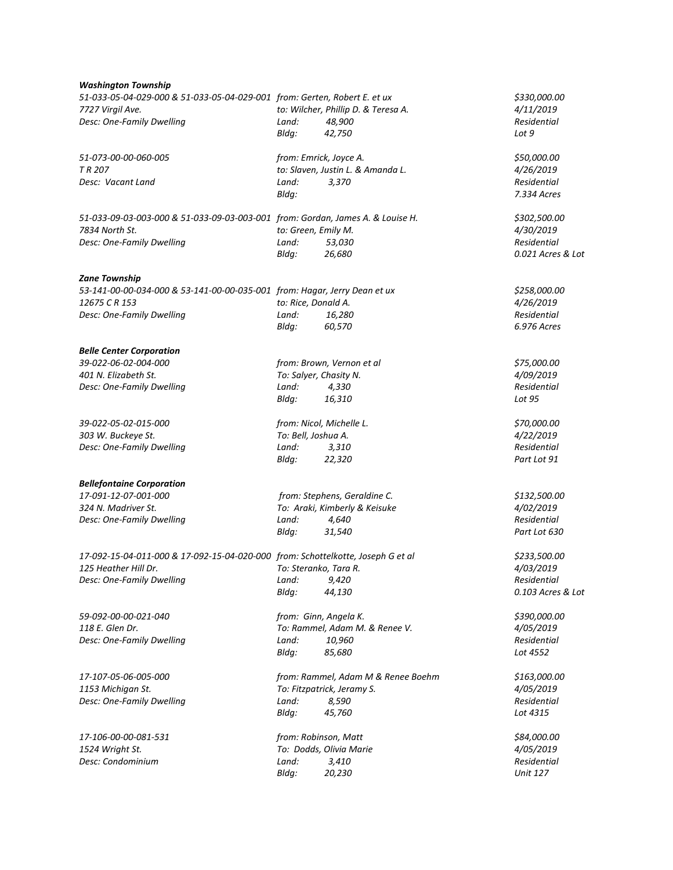| Washington Township |  |
|---------------------|--|
|---------------------|--|

| 51-033-05-04-029-000 & 51-033-05-04-029-001 from: Gerten, Robert E. et ux<br>7727 Virgil Ave.<br>Desc: One-Family Dwelling                     | Land:<br>Bldg:                           | to: Wilcher, Phillip D. & Teresa A.<br>48,900<br>42,750                             | \$330,000.00<br>4/11/2019<br>Residential<br>Lot 9             |  |
|------------------------------------------------------------------------------------------------------------------------------------------------|------------------------------------------|-------------------------------------------------------------------------------------|---------------------------------------------------------------|--|
| 51-073-00-00-060-005<br>TR 207<br>Desc: Vacant Land                                                                                            | from: Emrick, Joyce A.<br>Land:<br>Bldg: | to: Slaven, Justin L. & Amanda L.<br>3,370                                          | \$50,000.00<br>4/26/2019<br>Residential<br>7.334 Acres        |  |
| 51-033-09-03-003-000 & 51-033-09-03-003-001 from: Gordan, James A. & Louise H.<br>7834 North St.<br>Desc: One-Family Dwelling                  | to: Green, Emily M.<br>Land:<br>Bldg:    | 53,030<br>26,680                                                                    | \$302,500.00<br>4/30/2019<br>Residential<br>0.021 Acres & Lot |  |
| <b>Zane Township</b><br>53-141-00-00-034-000 & 53-141-00-00-035-001 from: Hagar, Jerry Dean et ux<br>12675 CR 153<br>Desc: One-Family Dwelling | to: Rice, Donald A.<br>Land:<br>Bldg:    | 16,280<br>60,570                                                                    | \$258,000.00<br>4/26/2019<br>Residential<br>6.976 Acres       |  |
| <b>Belle Center Corporation</b><br>39-022-06-02-004-000<br>401 N. Elizabeth St.<br>Desc: One-Family Dwelling                                   | To: Salyer, Chasity N.<br>Land:<br>Bldg: | from: Brown, Vernon et al<br>4,330<br>16,310                                        | \$75,000.00<br>4/09/2019<br>Residential<br>Lot 95             |  |
| 39-022-05-02-015-000<br>303 W. Buckeye St.<br>Desc: One-Family Dwelling                                                                        | To: Bell, Joshua A.<br>Land:<br>Bldg:    | from: Nicol, Michelle L.<br>3,310<br>22,320                                         | \$70,000.00<br>4/22/2019<br>Residential<br>Part Lot 91        |  |
| <b>Bellefontaine Corporation</b><br>17-091-12-07-001-000<br>324 N. Madriver St.<br>Desc: One-Family Dwelling                                   | Land:<br>Bldg:                           | from: Stephens, Geraldine C.<br>To: Araki, Kimberly & Keisuke<br>4,640<br>31,540    | \$132,500.00<br>4/02/2019<br>Residential<br>Part Lot 630      |  |
| 17-092-15-04-011-000 & 17-092-15-04-020-000 from: Schottelkotte, Joseph G et al<br>125 Heather Hill Dr.<br>Desc: One-Family Dwelling           | To: Steranko, Tara R.<br>Land:<br>Bldg:  | 9,420<br>44,130                                                                     | \$233,500.00<br>4/03/2019<br>Residential<br>0.103 Acres & Lot |  |
| 59-092-00-00-021-040<br>118 E. Glen Dr.<br>Desc: One-Family Dwelling                                                                           | from: Ginn, Angela K.<br>Land:<br>Bldg:  | To: Rammel, Adam M. & Renee V.<br>10,960<br>85,680                                  | \$390,000.00<br>4/05/2019<br>Residential<br>Lot 4552          |  |
| 17-107-05-06-005-000<br>1153 Michigan St.<br>Desc: One-Family Dwelling                                                                         | Land:<br>Bldg:                           | from: Rammel, Adam M & Renee Boehm<br>To: Fitzpatrick, Jeramy S.<br>8,590<br>45,760 | \$163,000.00<br>4/05/2019<br>Residential<br>Lot 4315          |  |
| 17-106-00-00-081-531<br>1524 Wright St.<br>Desc: Condominium                                                                                   | from: Robinson, Matt<br>Land:<br>Bldg:   | To: Dodds, Olivia Marie<br>3,410<br>20,230                                          | \$84,000.00<br>4/05/2019<br>Residential<br><b>Unit 127</b>    |  |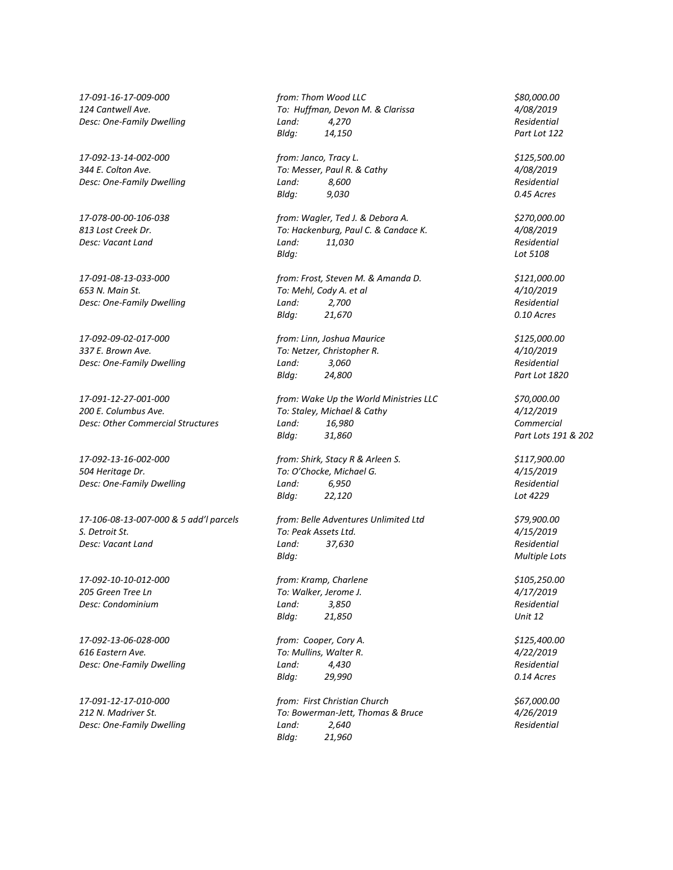*17-092-09-02-017-000 from: Linn, Joshua Maurice \$125,000.00*

*17-106-08-13-007-000 & 5 add'l parcels from: Belle Adventures Unlimited Ltd \$79,900.00 S. Detroit St. To: Peak Assets Ltd. 4/15/2019 Desc: Vacant Land Land: 37,630 Residential*

*17-092-10-10-012-000 from: Kramp, Charlene \$105,250.00 205 Green Tree Ln To: Walker, Jerome J. 4/17/2019*

*17-092-13-06-028-000 from: Cooper, Cory A. \$125,400.00 616 Eastern Ave. To: Mullins, Walter R. 4/22/2019 Desc: One-Family Dwelling Land: 4,430 Residential*

*17-091-16-17-009-000 from: Thom Wood LLC \$80,000.00 124 Cantwell Ave. To: Huffman, Devon M. & Clarissa 4/08/2019 Desc: One-Family Dwelling Land: 4,270 Residential Bldg: 14,150 Part Lot 122*

*17-092-13-14-002-000 from: Janco, Tracy L. \$125,500.00 344 E. Colton Ave. To: Messer, Paul R. & Cathy 4/08/2019 Desc: One-Family Dwelling Land: 8,600 Residential Bldg: 9,030 0.45 Acres*

*17-078-00-00-106-038 from: Wagler, Ted J. & Debora A. \$270,000.00 813 Lost Creek Dr. To: Hackenburg, Paul C. & Candace K. 4/08/2019 Desc: Vacant Land Land: 11,030 Residential Bldg: Lot 5108*

*17-091-08-13-033-000 from: Frost, Steven M. & Amanda D. \$121,000.00 653 N. Main St. To: Mehl, Cody A. et al 4/10/2019 Desc: One-Family Dwelling Land: 2,700 Residential Bldg: 21,670 0.10 Acres*

*337 E. Brown Ave. To: Netzer, Christopher R. 4/10/2019 Desc: One-Family Dwelling Land: 3,060 Residential Bldg: 24,800 Part Lot 1820*

*17-091-12-27-001-000 from: Wake Up the World Ministries LLC \$70,000.00 200 E. Columbus Ave. To: Staley, Michael & Cathy 4/12/2019 Desc: Other Commercial Structures Land: 16,980 Commercial Bldg: 31,860 Part Lots 191 & 202*

*17-092-13-16-002-000 from: Shirk, Stacy R & Arleen S. \$117,900.00 504 Heritage Dr. To: O'Chocke, Michael G. 4/15/2019 Desc: One-Family Dwelling Land: 6,950 Residential Bldg: 22,120 Lot 4229*

*Bldg: Multiple Lots*

*Desc: Condominium Land: 3,850 Residential Bldg: 21,850 Unit 12*

*Bldg: 29,990 0.14 Acres*

*17-091-12-17-010-000 from: First Christian Church \$67,000.00 212 N. Madriver St. To: Bowerman-Jett, Thomas & Bruce 4/26/2019 Desc: One-Family Dwelling Land: 2,640 Residential Bldg: 21,960*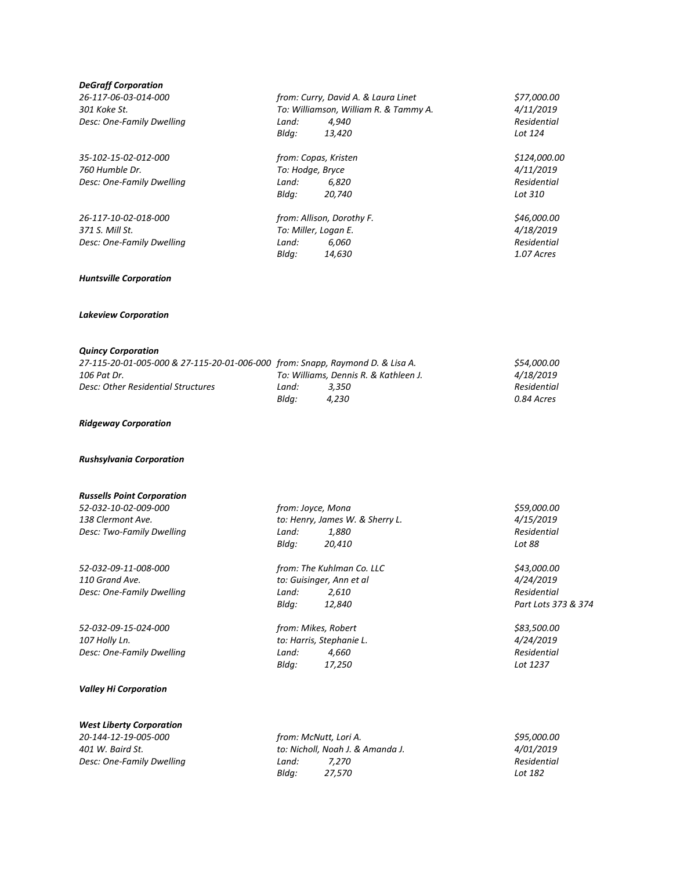| <b>DeGraff Corporation</b>                                                    |                       |                                                    |  |                     |
|-------------------------------------------------------------------------------|-----------------------|----------------------------------------------------|--|---------------------|
| 26-117-06-03-014-000                                                          |                       | from: Curry, David A. & Laura Linet<br>\$77,000.00 |  |                     |
| 301 Koke St.                                                                  |                       | To: Williamson, William R. & Tammy A.              |  | 4/11/2019           |
| Desc: One-Family Dwelling                                                     | Land:                 | 4,940                                              |  | Residential         |
|                                                                               | Bldg:                 | 13,420                                             |  | Lot 124             |
| 35-102-15-02-012-000                                                          | from: Copas, Kristen  |                                                    |  | \$124,000.00        |
| 760 Humble Dr.                                                                | To: Hodge, Bryce      |                                                    |  | 4/11/2019           |
| Desc: One-Family Dwelling                                                     | Land:                 | 6,820                                              |  | Residential         |
|                                                                               | Bldg:                 | 20,740                                             |  | Lot 310             |
| 26-117-10-02-018-000                                                          |                       | from: Allison, Dorothy F.                          |  | \$46,000.00         |
| 371 S. Mill St.                                                               | To: Miller, Logan E.  |                                                    |  | 4/18/2019           |
| Desc: One-Family Dwelling                                                     | Land:                 | 6,060                                              |  | Residential         |
|                                                                               | Bldg:                 | 14,630                                             |  | 1.07 Acres          |
| <b>Huntsville Corporation</b>                                                 |                       |                                                    |  |                     |
| <b>Lakeview Corporation</b>                                                   |                       |                                                    |  |                     |
| <b>Quincy Corporation</b>                                                     |                       |                                                    |  |                     |
| 27-115-20-01-005-000 & 27-115-20-01-006-000 from: Snapp, Raymond D. & Lisa A. |                       |                                                    |  | \$54,000.00         |
| 106 Pat Dr.                                                                   |                       | To: Williams, Dennis R. & Kathleen J.              |  | 4/18/2019           |
| Desc: Other Residential Structures                                            | Land:                 | 3,350                                              |  | Residential         |
|                                                                               | Bldg:                 | 4,230                                              |  | 0.84 Acres          |
| <b>Ridgeway Corporation</b>                                                   |                       |                                                    |  |                     |
| <b>Rushsylvania Corporation</b>                                               |                       |                                                    |  |                     |
| <b>Russells Point Corporation</b>                                             |                       |                                                    |  |                     |
| 52-032-10-02-009-000                                                          | from: Joyce, Mona     |                                                    |  | \$59,000.00         |
| 138 Clermont Ave.                                                             |                       | to: Henry, James W. & Sherry L.                    |  | 4/15/2019           |
| Desc: Two-Family Dwelling                                                     | Land:                 | 1,880                                              |  | Residential         |
|                                                                               | Bldg:                 | 20,410                                             |  | Lot 88              |
| 52-032-09-11-008-000                                                          |                       | from: The Kuhlman Co. LLC                          |  | \$43,000.00         |
| 110 Grand Ave.                                                                |                       | to: Guisinger, Ann et al                           |  | 4/24/2019           |
| Desc: One-Family Dwelling                                                     | Land:                 | 2,610                                              |  | Residential         |
|                                                                               | Bldg:                 | 12,840                                             |  | Part Lots 373 & 374 |
| 52-032-09-15-024-000                                                          | from: Mikes, Robert   |                                                    |  | \$83,500.00         |
| 107 Holly Ln.                                                                 |                       | to: Harris, Stephanie L.                           |  | 4/24/2019           |
| Desc: One-Family Dwelling                                                     | Land:                 | 4,660                                              |  | Residential         |
|                                                                               | Bldg:                 | 17,250                                             |  | Lot 1237            |
| <b>Valley Hi Corporation</b>                                                  |                       |                                                    |  |                     |
| <b>West Liberty Corporation</b>                                               |                       |                                                    |  |                     |
| 20-144-12-19-005-000                                                          | from: McNutt, Lori A. |                                                    |  | \$95,000.00         |
| 401 W. Baird St.                                                              |                       | to: Nicholl, Noah J. & Amanda J.                   |  | 4/01/2019           |
| Desc: One-Family Dwelling                                                     | Land:                 | 7,270                                              |  | Residential         |
|                                                                               | Bldg:                 | 27,570                                             |  | Lot 182             |
|                                                                               |                       |                                                    |  |                     |